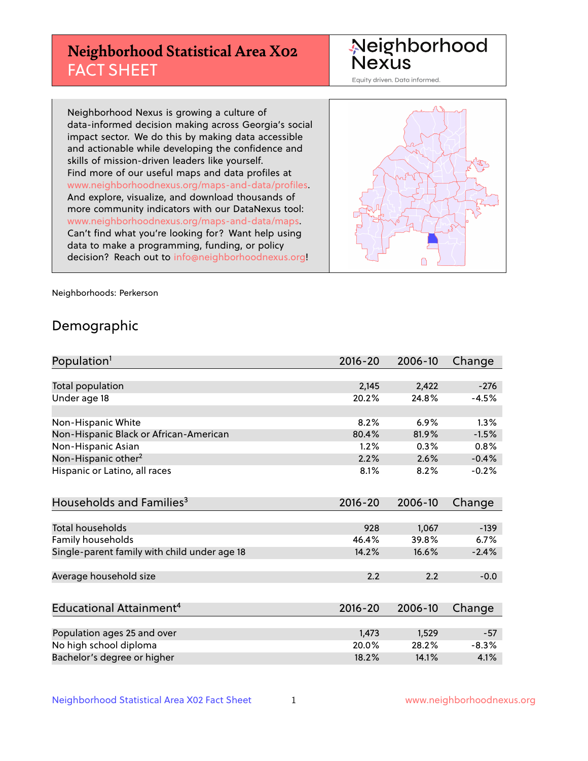# **Neighborhood Statistical Area X02** FACT SHEET

Neighborhood Nexus

Equity driven. Data informed.

Neighborhood Nexus is growing a culture of data-informed decision making across Georgia's social impact sector. We do this by making data accessible and actionable while developing the confidence and skills of mission-driven leaders like yourself. Find more of our useful maps and data profiles at www.neighborhoodnexus.org/maps-and-data/profiles. And explore, visualize, and download thousands of more community indicators with our DataNexus tool: www.neighborhoodnexus.org/maps-and-data/maps. Can't find what you're looking for? Want help using data to make a programming, funding, or policy decision? Reach out to [info@neighborhoodnexus.org!](mailto:info@neighborhoodnexus.org)



Neighborhoods: Perkerson

### Demographic

| Population <sup>1</sup>                      | $2016 - 20$ | 2006-10 | Change  |
|----------------------------------------------|-------------|---------|---------|
|                                              |             |         |         |
| <b>Total population</b>                      | 2,145       | 2,422   | $-276$  |
| Under age 18                                 | 20.2%       | 24.8%   | $-4.5%$ |
|                                              |             |         |         |
| Non-Hispanic White                           | 8.2%        | 6.9%    | 1.3%    |
| Non-Hispanic Black or African-American       | 80.4%       | 81.9%   | $-1.5%$ |
| Non-Hispanic Asian                           | 1.2%        | 0.3%    | 0.8%    |
| Non-Hispanic other <sup>2</sup>              | 2.2%        | 2.6%    | $-0.4%$ |
| Hispanic or Latino, all races                | 8.1%        | 8.2%    | $-0.2%$ |
|                                              |             |         |         |
| Households and Families <sup>3</sup>         | $2016 - 20$ | 2006-10 | Change  |
|                                              |             |         |         |
| <b>Total households</b>                      | 928         | 1,067   | $-139$  |
| Family households                            | 46.4%       | 39.8%   | 6.7%    |
| Single-parent family with child under age 18 | 14.2%       | 16.6%   | $-2.4%$ |
|                                              |             |         |         |
| Average household size                       | 2.2         | 2.2     | $-0.0$  |
|                                              |             |         |         |
| Educational Attainment <sup>4</sup>          | $2016 - 20$ | 2006-10 | Change  |
|                                              |             |         |         |
| Population ages 25 and over                  | 1,473       | 1,529   | $-57$   |
| No high school diploma                       | 20.0%       | 28.2%   | $-8.3%$ |
| Bachelor's degree or higher                  | 18.2%       | 14.1%   | 4.1%    |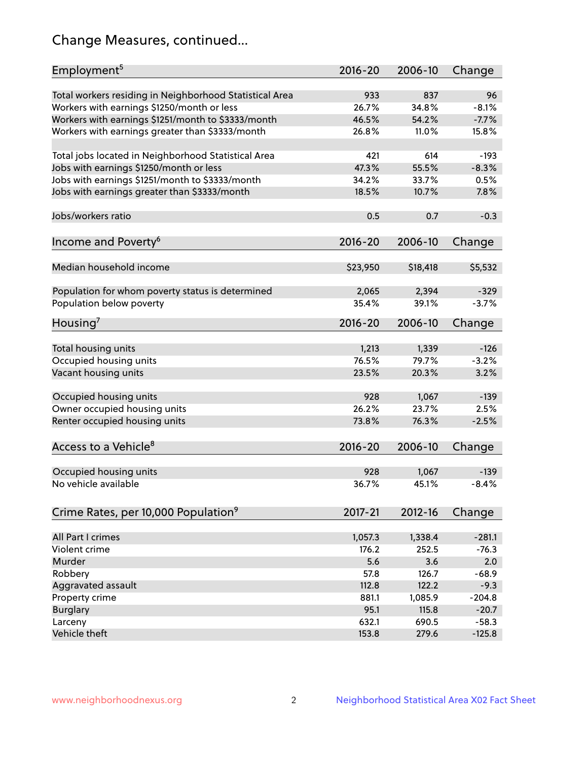# Change Measures, continued...

| Employment <sup>5</sup>                                                                               | $2016 - 20$  | 2006-10      | Change        |
|-------------------------------------------------------------------------------------------------------|--------------|--------------|---------------|
|                                                                                                       |              |              |               |
| Total workers residing in Neighborhood Statistical Area                                               | 933<br>26.7% | 837<br>34.8% | 96<br>$-8.1%$ |
| Workers with earnings \$1250/month or less                                                            | 46.5%        | 54.2%        | $-7.7%$       |
| Workers with earnings \$1251/month to \$3333/month<br>Workers with earnings greater than \$3333/month | 26.8%        | 11.0%        | 15.8%         |
|                                                                                                       |              |              |               |
| Total jobs located in Neighborhood Statistical Area                                                   | 421          | 614          | $-193$        |
| Jobs with earnings \$1250/month or less                                                               | 47.3%        | 55.5%        | $-8.3%$       |
| Jobs with earnings \$1251/month to \$3333/month                                                       | 34.2%        | 33.7%        | 0.5%          |
| Jobs with earnings greater than \$3333/month                                                          | 18.5%        | 10.7%        | 7.8%          |
|                                                                                                       |              |              |               |
| Jobs/workers ratio                                                                                    | 0.5          | 0.7          | $-0.3$        |
|                                                                                                       |              |              |               |
| Income and Poverty <sup>6</sup>                                                                       | 2016-20      | 2006-10      | Change        |
|                                                                                                       |              |              |               |
| Median household income                                                                               | \$23,950     | \$18,418     | \$5,532       |
| Population for whom poverty status is determined                                                      | 2,065        | 2,394        | $-329$        |
| Population below poverty                                                                              | 35.4%        | 39.1%        | $-3.7%$       |
|                                                                                                       |              |              |               |
| Housing <sup>7</sup>                                                                                  | 2016-20      | 2006-10      | Change        |
|                                                                                                       |              |              |               |
| Total housing units                                                                                   | 1,213        | 1,339        | $-126$        |
| Occupied housing units                                                                                | 76.5%        | 79.7%        | $-3.2%$       |
| Vacant housing units                                                                                  | 23.5%        | 20.3%        | 3.2%          |
|                                                                                                       |              |              |               |
| Occupied housing units                                                                                | 928          | 1,067        | $-139$        |
| Owner occupied housing units                                                                          | 26.2%        | 23.7%        | 2.5%          |
| Renter occupied housing units                                                                         | 73.8%        | 76.3%        | $-2.5%$       |
|                                                                                                       |              | 2006-10      |               |
| Access to a Vehicle <sup>8</sup>                                                                      | $2016 - 20$  |              | Change        |
| Occupied housing units                                                                                | 928          | 1,067        | $-139$        |
| No vehicle available                                                                                  | 36.7%        | 45.1%        | $-8.4%$       |
|                                                                                                       |              |              |               |
| Crime Rates, per 10,000 Population <sup>9</sup>                                                       | 2017-21      | 2012-16      | Change        |
|                                                                                                       |              |              |               |
| All Part I crimes                                                                                     | 1,057.3      | 1,338.4      | $-281.1$      |
| Violent crime                                                                                         | 176.2        | 252.5        | $-76.3$       |
| Murder                                                                                                | 5.6          | 3.6          | 2.0           |
| Robbery                                                                                               | 57.8         | 126.7        | $-68.9$       |
| Aggravated assault                                                                                    | 112.8        | 122.2        | $-9.3$        |
| Property crime                                                                                        | 881.1        | 1,085.9      | $-204.8$      |
| <b>Burglary</b>                                                                                       | 95.1         | 115.8        | $-20.7$       |
| Larceny                                                                                               | 632.1        | 690.5        | $-58.3$       |
| Vehicle theft                                                                                         | 153.8        | 279.6        | $-125.8$      |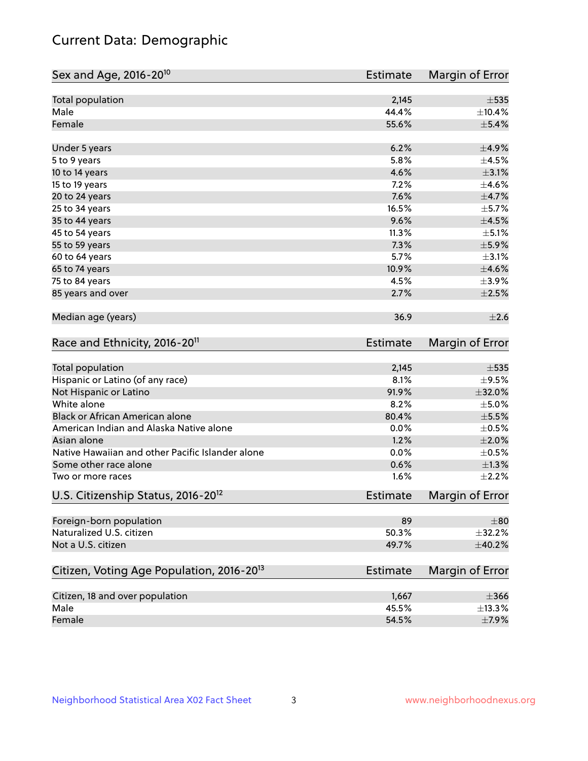# Current Data: Demographic

| Sex and Age, 2016-20 <sup>10</sup>                    | <b>Estimate</b> | Margin of Error |
|-------------------------------------------------------|-----------------|-----------------|
| Total population                                      | 2,145           | $\pm$ 535       |
| Male                                                  | 44.4%           | ±10.4%          |
| Female                                                | 55.6%           | $\pm$ 5.4%      |
| Under 5 years                                         | 6.2%            | $\pm$ 4.9%      |
| 5 to 9 years                                          | 5.8%            | $\pm 4.5\%$     |
| 10 to 14 years                                        | 4.6%            | $\pm$ 3.1%      |
| 15 to 19 years                                        | 7.2%            | $\pm$ 4.6%      |
| 20 to 24 years                                        | 7.6%            | $\pm$ 4.7%      |
| 25 to 34 years                                        | 16.5%           | $\pm$ 5.7%      |
| 35 to 44 years                                        | 9.6%            | $\pm 4.5\%$     |
| 45 to 54 years                                        | 11.3%           | $\pm$ 5.1%      |
| 55 to 59 years                                        | 7.3%            | $\pm$ 5.9%      |
| 60 to 64 years                                        | 5.7%            | $\pm$ 3.1%      |
| 65 to 74 years                                        | 10.9%           | $\pm 4.6\%$     |
| 75 to 84 years                                        | 4.5%            | $\pm$ 3.9%      |
| 85 years and over                                     | 2.7%            | $\pm 2.5\%$     |
| Median age (years)                                    | 36.9            | $\pm 2.6$       |
| Race and Ethnicity, 2016-20 <sup>11</sup>             | <b>Estimate</b> | Margin of Error |
| <b>Total population</b>                               | 2,145           | $\pm$ 535       |
| Hispanic or Latino (of any race)                      | 8.1%            | $\pm$ 9.5%      |
| Not Hispanic or Latino                                | 91.9%           | $\pm$ 32.0%     |
| White alone                                           | 8.2%            | $\pm$ 5.0%      |
| Black or African American alone                       | 80.4%           | $\pm$ 5.5%      |
| American Indian and Alaska Native alone               | 0.0%            | $\pm$ 0.5%      |
| Asian alone                                           | 1.2%            | $\pm 2.0\%$     |
| Native Hawaiian and other Pacific Islander alone      | 0.0%            | $\pm$ 0.5%      |
| Some other race alone                                 | 0.6%            | $\pm 1.3\%$     |
| Two or more races                                     | 1.6%            | $\pm 2.2\%$     |
| U.S. Citizenship Status, 2016-20 <sup>12</sup>        | <b>Estimate</b> | Margin of Error |
| Foreign-born population                               | 89              | $\pm$ 80        |
| Naturalized U.S. citizen                              | 50.3%           | ±32.2%          |
| Not a U.S. citizen                                    | 49.7%           | ±40.2%          |
| Citizen, Voting Age Population, 2016-20 <sup>13</sup> | <b>Estimate</b> | Margin of Error |
| Citizen, 18 and over population                       | 1,667           | $\pm 366$       |
| Male                                                  | 45.5%           | ±13.3%          |
| Female                                                | 54.5%           | $\pm$ 7.9%      |
|                                                       |                 |                 |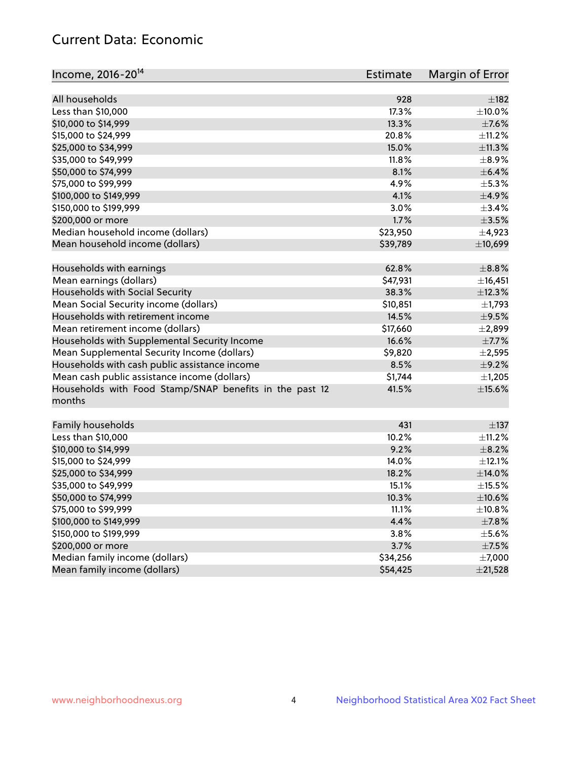# Current Data: Economic

| Income, 2016-20 <sup>14</sup>                           | Estimate | Margin of Error |
|---------------------------------------------------------|----------|-----------------|
|                                                         |          |                 |
| All households                                          | 928      | $\pm$ 182       |
| Less than \$10,000                                      | 17.3%    | $\pm$ 10.0%     |
| \$10,000 to \$14,999                                    | 13.3%    | $\pm$ 7.6%      |
| \$15,000 to \$24,999                                    | 20.8%    | ±11.2%          |
| \$25,000 to \$34,999                                    | 15.0%    | ±11.3%          |
| \$35,000 to \$49,999                                    | 11.8%    | $\pm$ 8.9%      |
| \$50,000 to \$74,999                                    | 8.1%     | $\pm$ 6.4%      |
| \$75,000 to \$99,999                                    | 4.9%     | $\pm$ 5.3%      |
| \$100,000 to \$149,999                                  | 4.1%     | $\pm$ 4.9%      |
| \$150,000 to \$199,999                                  | 3.0%     | $\pm$ 3.4%      |
| \$200,000 or more                                       | 1.7%     | $\pm$ 3.5%      |
| Median household income (dollars)                       | \$23,950 | $\pm$ 4,923     |
| Mean household income (dollars)                         | \$39,789 | ±10,699         |
| Households with earnings                                | 62.8%    | $\pm$ 8.8%      |
| Mean earnings (dollars)                                 | \$47,931 | ±16,451         |
| Households with Social Security                         | 38.3%    | ±12.3%          |
| Mean Social Security income (dollars)                   | \$10,851 | $\pm$ 1,793     |
| Households with retirement income                       | 14.5%    | $\pm$ 9.5%      |
| Mean retirement income (dollars)                        | \$17,660 | $\pm 2,899$     |
| Households with Supplemental Security Income            | 16.6%    | $\pm$ 7.7%      |
| Mean Supplemental Security Income (dollars)             | \$9,820  | $\pm 2,595$     |
| Households with cash public assistance income           | 8.5%     | $\pm$ 9.2%      |
| Mean cash public assistance income (dollars)            | \$1,744  | $\pm$ 1,205     |
| Households with Food Stamp/SNAP benefits in the past 12 | 41.5%    | $\pm$ 15.6%     |
| months                                                  |          |                 |
| Family households                                       | 431      | $\pm$ 137       |
| Less than \$10,000                                      | 10.2%    | $\pm$ 11.2%     |
| \$10,000 to \$14,999                                    | 9.2%     | $\pm$ 8.2%      |
| \$15,000 to \$24,999                                    | 14.0%    | $\pm$ 12.1%     |
| \$25,000 to \$34,999                                    | 18.2%    | $\pm$ 14.0%     |
| \$35,000 to \$49,999                                    | 15.1%    | $\pm$ 15.5%     |
| \$50,000 to \$74,999                                    | 10.3%    | $\pm$ 10.6%     |
| \$75,000 to \$99,999                                    | 11.1%    | ±10.8%          |
| \$100,000 to \$149,999                                  | 4.4%     | $\pm$ 7.8%      |
| \$150,000 to \$199,999                                  | 3.8%     | $\pm$ 5.6%      |
| \$200,000 or more                                       | 3.7%     | $\pm$ 7.5%      |
| Median family income (dollars)                          | \$34,256 | $\pm$ 7,000     |
| Mean family income (dollars)                            | \$54,425 | ±21,528         |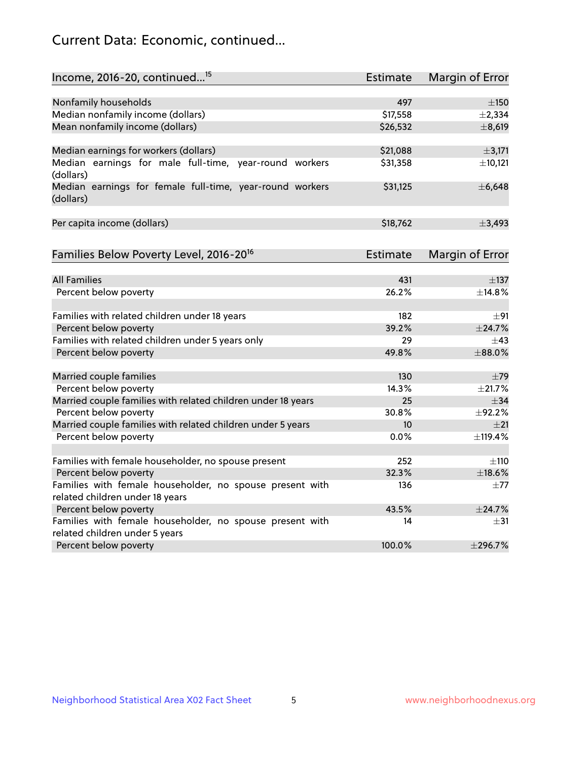# Current Data: Economic, continued...

| Income, 2016-20, continued <sup>15</sup>                                                   | <b>Estimate</b> | <b>Margin of Error</b> |
|--------------------------------------------------------------------------------------------|-----------------|------------------------|
|                                                                                            |                 |                        |
| Nonfamily households                                                                       | 497             | $\pm 150$              |
| Median nonfamily income (dollars)                                                          | \$17,558        | ±2,334                 |
| Mean nonfamily income (dollars)                                                            | \$26,532        | ±8,619                 |
| Median earnings for workers (dollars)                                                      | \$21,088        | ±3,171                 |
| Median earnings for male full-time, year-round workers                                     | \$31,358        | ±10,121                |
| (dollars)                                                                                  |                 |                        |
| Median earnings for female full-time, year-round workers<br>(dollars)                      | \$31,125        | ±6,648                 |
| Per capita income (dollars)                                                                | \$18,762        | ±3,493                 |
|                                                                                            |                 |                        |
| Families Below Poverty Level, 2016-20 <sup>16</sup>                                        | <b>Estimate</b> | <b>Margin of Error</b> |
| <b>All Families</b>                                                                        | 431             |                        |
|                                                                                            |                 | $\pm$ 137              |
| Percent below poverty                                                                      | 26.2%           | ±14.8%                 |
| Families with related children under 18 years                                              | 182             | $\pm$ 91               |
| Percent below poverty                                                                      | 39.2%           | ±24.7%                 |
| Families with related children under 5 years only                                          | 29              | $\pm$ 43               |
| Percent below poverty                                                                      | 49.8%           | ±88.0%                 |
| Married couple families                                                                    | 130             | $\pm$ 79               |
| Percent below poverty                                                                      | 14.3%           | ±21.7%                 |
| Married couple families with related children under 18 years                               | 25              | $\pm$ 34               |
| Percent below poverty                                                                      | 30.8%           | ±92.2%                 |
| Married couple families with related children under 5 years                                | 10              | ±21                    |
| Percent below poverty                                                                      | $0.0\%$         | ±119.4%                |
|                                                                                            |                 |                        |
| Families with female householder, no spouse present                                        | 252             | ±110                   |
| Percent below poverty                                                                      | 32.3%           | $\pm$ 18.6%            |
| Families with female householder, no spouse present with                                   | 136             | $\pm 77$               |
| related children under 18 years                                                            |                 |                        |
| Percent below poverty                                                                      | 43.5%           | ±24.7%                 |
| Families with female householder, no spouse present with<br>related children under 5 years | 14              | $\pm$ 31               |
| Percent below poverty                                                                      | 100.0%          | $±$ 296.7%             |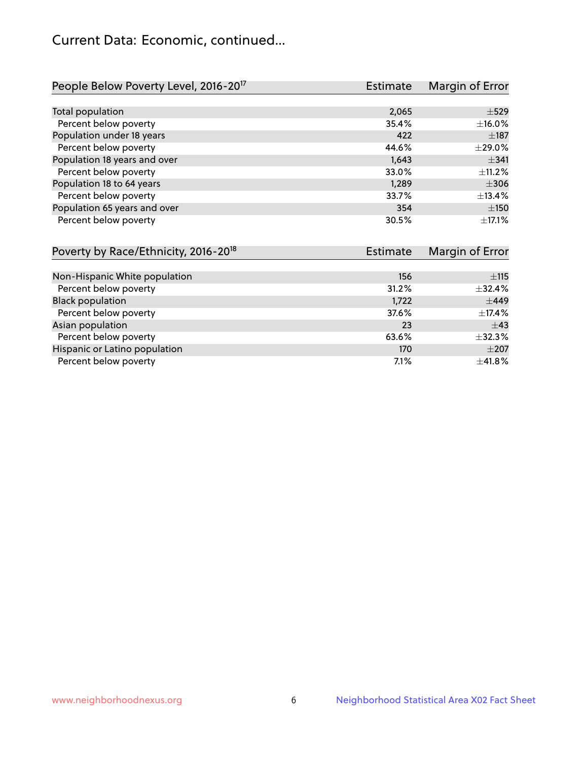# Current Data: Economic, continued...

| People Below Poverty Level, 2016-20 <sup>17</sup> | <b>Estimate</b> | Margin of Error |
|---------------------------------------------------|-----------------|-----------------|
|                                                   |                 |                 |
| Total population                                  | 2,065           | $\pm$ 529       |
| Percent below poverty                             | 35.4%           | ±16.0%          |
| Population under 18 years                         | 422             | $\pm$ 187       |
| Percent below poverty                             | 44.6%           | ±29.0%          |
| Population 18 years and over                      | 1,643           | $\pm$ 341       |
| Percent below poverty                             | 33.0%           | ±11.2%          |
| Population 18 to 64 years                         | 1,289           | $\pm$ 306       |
| Percent below poverty                             | 33.7%           | ±13.4%          |
| Population 65 years and over                      | 354             | ±150            |
| Percent below poverty                             | 30.5%           | ±17.1%          |

| Poverty by Race/Ethnicity, 2016-20 <sup>18</sup> | <b>Estimate</b> | Margin of Error |
|--------------------------------------------------|-----------------|-----------------|
|                                                  |                 |                 |
| Non-Hispanic White population                    | 156             | ±115            |
| Percent below poverty                            | 31.2%           | ±32.4%          |
| <b>Black population</b>                          | 1,722           | $\pm$ 449       |
| Percent below poverty                            | 37.6%           | $\pm$ 17.4%     |
| Asian population                                 | 23              | $\pm$ 43        |
| Percent below poverty                            | 63.6%           | ±32.3%          |
| Hispanic or Latino population                    | 170             | $\pm 207$       |
| Percent below poverty                            | 7.1%            | ±41.8%          |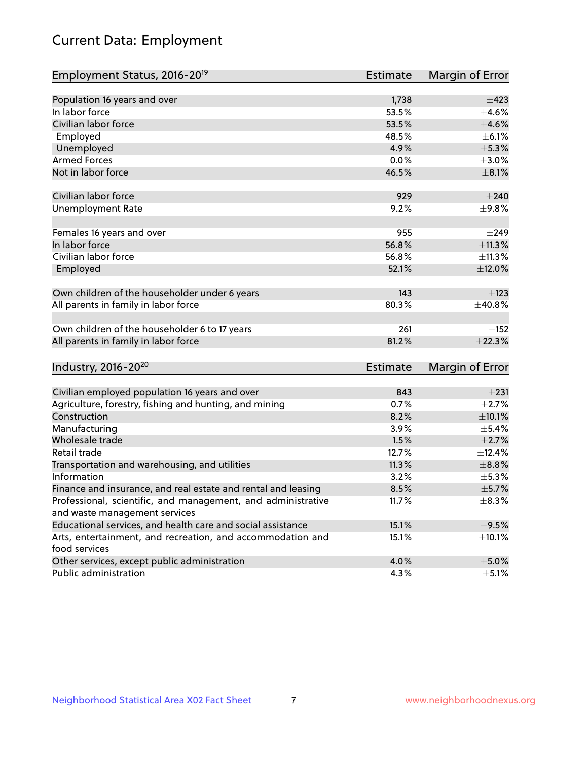# Current Data: Employment

| Employment Status, 2016-20 <sup>19</sup>                      | <b>Estimate</b> | Margin of Error |
|---------------------------------------------------------------|-----------------|-----------------|
|                                                               |                 |                 |
| Population 16 years and over                                  | 1,738           | $\pm$ 423       |
| In labor force                                                | 53.5%           | $\pm 4.6\%$     |
| Civilian labor force                                          | 53.5%           | $\pm 4.6\%$     |
| Employed                                                      | 48.5%           | $\pm$ 6.1%      |
| Unemployed                                                    | 4.9%            | $\pm$ 5.3%      |
| <b>Armed Forces</b>                                           | 0.0%            | $\pm 3.0\%$     |
| Not in labor force                                            | 46.5%           | $\pm$ 8.1%      |
| Civilian labor force                                          | 929             | $\pm 240$       |
| <b>Unemployment Rate</b>                                      | 9.2%            | ±9.8%           |
|                                                               |                 |                 |
| Females 16 years and over                                     | 955             | $\pm$ 249       |
| In labor force                                                | 56.8%           | $\pm$ 11.3%     |
| Civilian labor force                                          | 56.8%           | ±11.3%          |
| Employed                                                      | 52.1%           | ±12.0%          |
| Own children of the householder under 6 years                 | 143             | $\pm$ 123       |
| All parents in family in labor force                          | 80.3%           | ±40.8%          |
|                                                               |                 |                 |
| Own children of the householder 6 to 17 years                 | 261             | ±152            |
| All parents in family in labor force                          | 81.2%           | ±22.3%          |
|                                                               |                 |                 |
| Industry, 2016-20 <sup>20</sup>                               | Estimate        | Margin of Error |
| Civilian employed population 16 years and over                | 843             | $\pm 231$       |
| Agriculture, forestry, fishing and hunting, and mining        | 0.7%            | $\pm 2.7\%$     |
| Construction                                                  | 8.2%            | $\pm 10.1\%$    |
| Manufacturing                                                 | 3.9%            | $\pm$ 5.4%      |
| Wholesale trade                                               | 1.5%            | $\pm 2.7\%$     |
| Retail trade                                                  | 12.7%           | ±12.4%          |
| Transportation and warehousing, and utilities                 | 11.3%           | $\pm$ 8.8%      |
| Information                                                   | 3.2%            | $\pm$ 5.3%      |
| Finance and insurance, and real estate and rental and leasing | 8.5%            | $\pm$ 5.7%      |
| Professional, scientific, and management, and administrative  | 11.7%           | $\pm$ 8.3%      |
| and waste management services                                 |                 |                 |
| Educational services, and health care and social assistance   | 15.1%           | $\pm$ 9.5%      |
| Arts, entertainment, and recreation, and accommodation and    | 15.1%           | $\pm$ 10.1%     |
| food services                                                 |                 |                 |
| Other services, except public administration                  | 4.0%            | $\pm$ 5.0%      |
| Public administration                                         | 4.3%            | $\pm$ 5.1%      |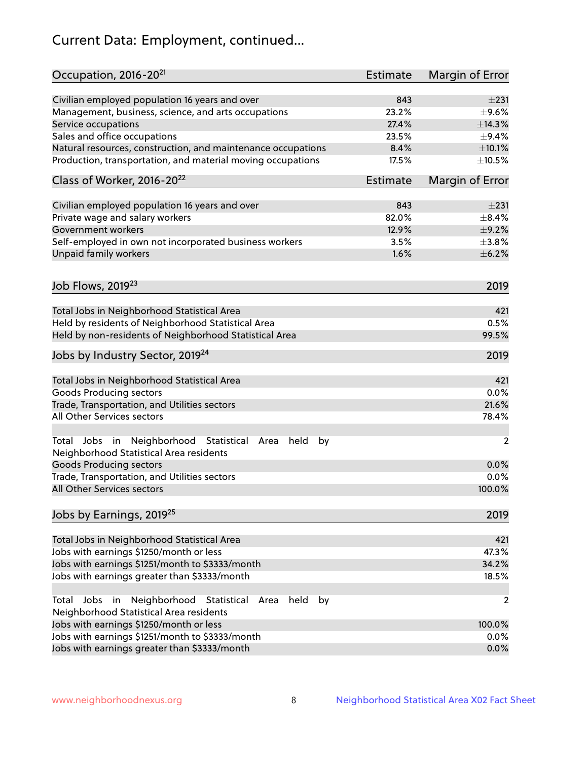# Current Data: Employment, continued...

| Occupation, 2016-20 <sup>21</sup>                                                                                | Estimate | Margin of Error |
|------------------------------------------------------------------------------------------------------------------|----------|-----------------|
| Civilian employed population 16 years and over                                                                   | 843      | $\pm 231$       |
| Management, business, science, and arts occupations                                                              | 23.2%    | $\pm$ 9.6%      |
| Service occupations                                                                                              | 27.4%    | ±14.3%          |
| Sales and office occupations                                                                                     | 23.5%    | $\pm$ 9.4%      |
| Natural resources, construction, and maintenance occupations                                                     | 8.4%     | $\pm 10.1\%$    |
| Production, transportation, and material moving occupations                                                      | 17.5%    | $\pm 10.5\%$    |
| Class of Worker, 2016-20 <sup>22</sup>                                                                           | Estimate | Margin of Error |
| Civilian employed population 16 years and over                                                                   | 843      | ±231            |
| Private wage and salary workers                                                                                  | 82.0%    | $\pm$ 8.4%      |
| Government workers                                                                                               | 12.9%    | $\pm$ 9.2%      |
| Self-employed in own not incorporated business workers                                                           | 3.5%     | $\pm$ 3.8%      |
| Unpaid family workers                                                                                            | 1.6%     | $\pm$ 6.2%      |
| Job Flows, 2019 <sup>23</sup>                                                                                    |          | 2019            |
|                                                                                                                  |          |                 |
| Total Jobs in Neighborhood Statistical Area                                                                      |          | 421             |
| Held by residents of Neighborhood Statistical Area                                                               |          | 0.5%            |
| Held by non-residents of Neighborhood Statistical Area                                                           |          | 99.5%           |
| Jobs by Industry Sector, 2019 <sup>24</sup>                                                                      |          | 2019            |
| Total Jobs in Neighborhood Statistical Area                                                                      |          | 421             |
| <b>Goods Producing sectors</b>                                                                                   |          | 0.0%            |
| Trade, Transportation, and Utilities sectors                                                                     |          | 21.6%           |
| All Other Services sectors                                                                                       |          | 78.4%           |
| Total Jobs in Neighborhood Statistical<br>held<br>by<br>Area<br>Neighborhood Statistical Area residents          |          | $\overline{2}$  |
| <b>Goods Producing sectors</b>                                                                                   |          | 0.0%            |
| Trade, Transportation, and Utilities sectors                                                                     |          | 0.0%            |
| All Other Services sectors                                                                                       |          | 100.0%          |
| Jobs by Earnings, 2019 <sup>25</sup>                                                                             |          | 2019            |
| Total Jobs in Neighborhood Statistical Area                                                                      |          | 421             |
| Jobs with earnings \$1250/month or less                                                                          |          | 47.3%           |
| Jobs with earnings \$1251/month to \$3333/month                                                                  |          | 34.2%           |
| Jobs with earnings greater than \$3333/month                                                                     |          | 18.5%           |
| Neighborhood Statistical<br>Jobs<br>in<br>held<br>by<br>Total<br>Area<br>Neighborhood Statistical Area residents |          | 2               |
| Jobs with earnings \$1250/month or less                                                                          |          | 100.0%          |
| Jobs with earnings \$1251/month to \$3333/month                                                                  |          | 0.0%            |
| Jobs with earnings greater than \$3333/month                                                                     |          | 0.0%            |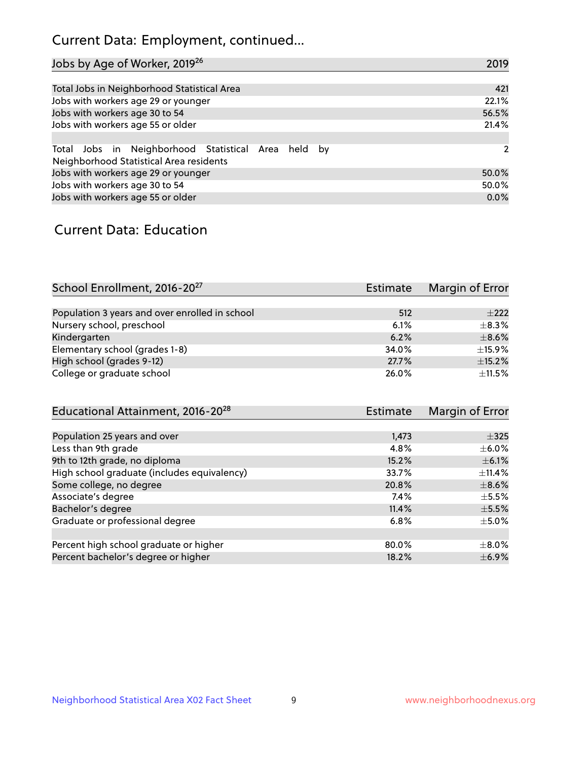# Current Data: Employment, continued...

| Jobs by Age of Worker, 2019 <sup>26</sup>                                                      | 2019  |
|------------------------------------------------------------------------------------------------|-------|
|                                                                                                |       |
| Total Jobs in Neighborhood Statistical Area                                                    | 421   |
| Jobs with workers age 29 or younger                                                            | 22.1% |
| Jobs with workers age 30 to 54                                                                 | 56.5% |
| Jobs with workers age 55 or older                                                              | 21.4% |
|                                                                                                |       |
| Total Jobs in Neighborhood Statistical Area held by<br>Neighborhood Statistical Area residents | 2     |
| Jobs with workers age 29 or younger                                                            | 50.0% |
| Jobs with workers age 30 to 54                                                                 | 50.0% |
| Jobs with workers age 55 or older                                                              | 0.0%  |

### Current Data: Education

| School Enrollment, 2016-20 <sup>27</sup>       | <b>Estimate</b> | Margin of Error |
|------------------------------------------------|-----------------|-----------------|
|                                                |                 |                 |
| Population 3 years and over enrolled in school | 512             | $\pm 222$       |
| Nursery school, preschool                      | 6.1%            | $\pm$ 8.3%      |
| Kindergarten                                   | 6.2%            | $\pm$ 8.6%      |
| Elementary school (grades 1-8)                 | 34.0%           | $\pm$ 15.9%     |
| High school (grades 9-12)                      | 27.7%           | $\pm$ 15.2%     |
| College or graduate school                     | 26.0%           | $+11.5%$        |

| Educational Attainment, 2016-20 <sup>28</sup> | <b>Estimate</b> | Margin of Error |
|-----------------------------------------------|-----------------|-----------------|
|                                               |                 |                 |
| Population 25 years and over                  | 1,473           | $\pm$ 325       |
| Less than 9th grade                           | 4.8%            | $\pm$ 6.0%      |
| 9th to 12th grade, no diploma                 | 15.2%           | $\pm$ 6.1%      |
| High school graduate (includes equivalency)   | 33.7%           | $\pm$ 11.4%     |
| Some college, no degree                       | 20.8%           | $\pm$ 8.6%      |
| Associate's degree                            | 7.4%            | $\pm$ 5.5%      |
| Bachelor's degree                             | 11.4%           | $\pm$ 5.5%      |
| Graduate or professional degree               | 6.8%            | $\pm$ 5.0%      |
|                                               |                 |                 |
| Percent high school graduate or higher        | 80.0%           | $\pm$ 8.0%      |
| Percent bachelor's degree or higher           | 18.2%           | $\pm$ 6.9%      |
|                                               |                 |                 |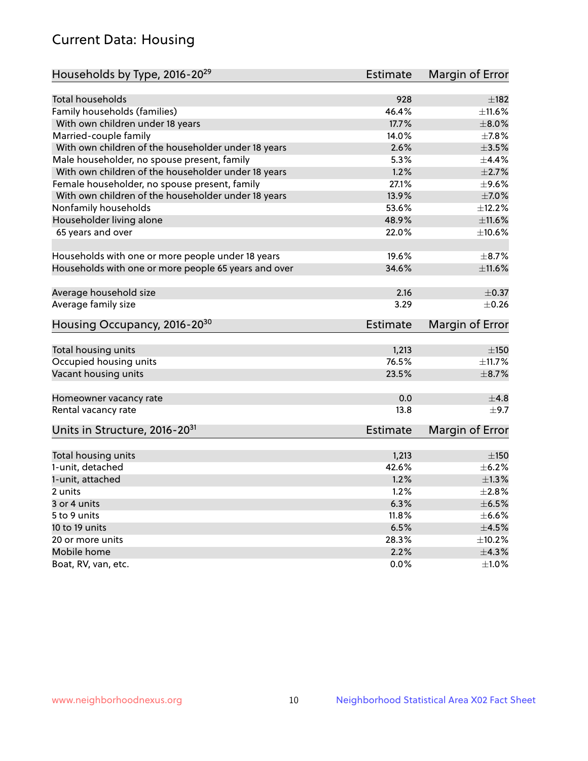# Current Data: Housing

| Households by Type, 2016-20 <sup>29</sup>            | <b>Estimate</b> | Margin of Error |
|------------------------------------------------------|-----------------|-----------------|
|                                                      |                 |                 |
| Total households                                     | 928             | $\pm$ 182       |
| Family households (families)                         | 46.4%           | ±11.6%          |
| With own children under 18 years                     | 17.7%           | $\pm 8.0\%$     |
| Married-couple family                                | 14.0%           | ±7.8%           |
| With own children of the householder under 18 years  | 2.6%            | $\pm 3.5\%$     |
| Male householder, no spouse present, family          | 5.3%            | $\pm$ 4.4%      |
| With own children of the householder under 18 years  | 1.2%            | $\pm 2.7\%$     |
| Female householder, no spouse present, family        | 27.1%           | $\pm$ 9.6%      |
| With own children of the householder under 18 years  | 13.9%           | $\pm$ 7.0%      |
| Nonfamily households                                 | 53.6%           | ±12.2%          |
| Householder living alone                             | 48.9%           | ±11.6%          |
| 65 years and over                                    | 22.0%           | $\pm$ 10.6%     |
|                                                      |                 |                 |
| Households with one or more people under 18 years    | 19.6%           | $\pm$ 8.7%      |
| Households with one or more people 65 years and over | 34.6%           | ±11.6%          |
|                                                      |                 |                 |
| Average household size                               | 2.16            | $\pm$ 0.37      |
| Average family size                                  | 3.29            | $\pm$ 0.26      |
| Housing Occupancy, 2016-20 <sup>30</sup>             | <b>Estimate</b> | Margin of Error |
|                                                      |                 |                 |
| Total housing units                                  | 1,213           | ±150            |
| Occupied housing units                               | 76.5%           | ±11.7%          |
| Vacant housing units                                 | 23.5%           | $\pm$ 8.7%      |
| Homeowner vacancy rate                               | 0.0             | ±4.8            |
| Rental vacancy rate                                  | 13.8            | $\pm$ 9.7       |
| Units in Structure, 2016-20 <sup>31</sup>            | Estimate        | Margin of Error |
|                                                      |                 |                 |
| Total housing units                                  | 1,213           | $\pm 150$       |
| 1-unit, detached                                     | 42.6%           | $\pm$ 6.2%      |
| 1-unit, attached                                     | 1.2%            | $\pm 1.3\%$     |
| 2 units                                              | 1.2%            | $\pm 2.8\%$     |
|                                                      | 6.3%            | $\pm$ 6.5%      |
| 3 or 4 units                                         |                 |                 |
| 5 to 9 units                                         | 11.8%           | $\pm$ 6.6%      |
| 10 to 19 units                                       | 6.5%            | $\pm 4.5\%$     |
| 20 or more units                                     | 28.3%           | ±10.2%          |
| Mobile home                                          | 2.2%            | ±4.3%           |
| Boat, RV, van, etc.                                  | $0.0\%$         | $\pm 1.0\%$     |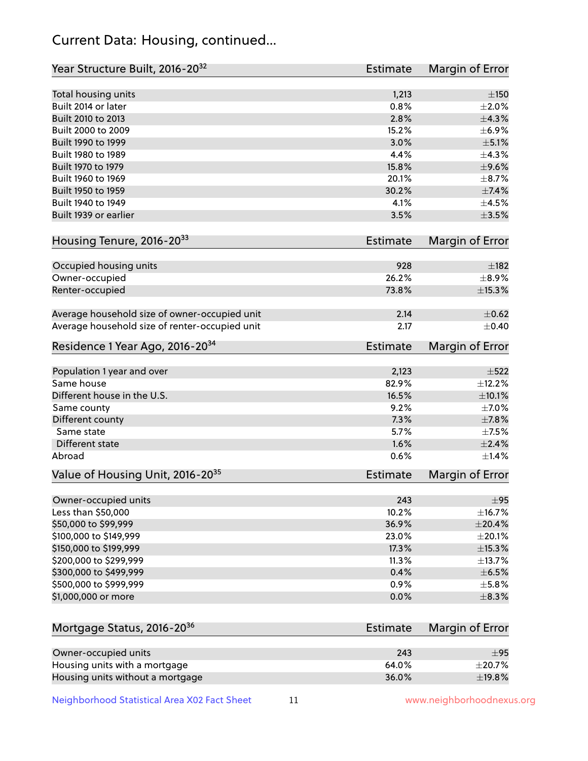# Current Data: Housing, continued...

| Year Structure Built, 2016-20 <sup>32</sup>    | Estimate        | <b>Margin of Error</b> |
|------------------------------------------------|-----------------|------------------------|
| Total housing units                            | 1,213           | $\pm$ 150              |
| Built 2014 or later                            | 0.8%            | $\pm 2.0\%$            |
| Built 2010 to 2013                             | 2.8%            | ±4.3%                  |
| Built 2000 to 2009                             | 15.2%           | ±6.9%                  |
| Built 1990 to 1999                             | 3.0%            | $\pm$ 5.1%             |
| Built 1980 to 1989                             | 4.4%            | ±4.3%                  |
| Built 1970 to 1979                             | 15.8%           | $\pm$ 9.6%             |
| Built 1960 to 1969                             | 20.1%           | $\pm$ 8.7%             |
| Built 1950 to 1959                             | 30.2%           | ±7.4%                  |
| Built 1940 to 1949                             | 4.1%            | $\pm$ 4.5%             |
| Built 1939 or earlier                          | 3.5%            | $\pm$ 3.5%             |
| Housing Tenure, 2016-2033                      | Estimate        | Margin of Error        |
| Occupied housing units                         | 928             | ±182                   |
| Owner-occupied                                 | 26.2%           | $\pm$ 8.9%             |
| Renter-occupied                                | 73.8%           | ±15.3%                 |
| Average household size of owner-occupied unit  | 2.14            | $\pm$ 0.62             |
| Average household size of renter-occupied unit | 2.17            | $\pm$ 0.40             |
| Residence 1 Year Ago, 2016-20 <sup>34</sup>    | <b>Estimate</b> | <b>Margin of Error</b> |
| Population 1 year and over                     | 2,123           | $\pm$ 522              |
| Same house                                     | 82.9%           | ±12.2%                 |
| Different house in the U.S.                    | 16.5%           | ±10.1%                 |
| Same county                                    | 9.2%            | $\pm$ 7.0%             |
| Different county                               | 7.3%            | $\pm$ 7.8%             |
| Same state                                     | 5.7%            | $\pm$ 7.5%             |
| Different state                                | 1.6%            | $\pm 2.4\%$            |
| Abroad                                         | 0.6%            | $\pm$ 1.4%             |
| Value of Housing Unit, 2016-20 <sup>35</sup>   | <b>Estimate</b> | Margin of Error        |
| Owner-occupied units                           | 243             | $\pm$ 95               |
| Less than \$50,000                             | 10.2%           | ±16.7%                 |
| \$50,000 to \$99,999                           | 36.9%           | ±20.4%                 |
| \$100,000 to \$149,999                         | 23.0%           | ±20.1%                 |
| \$150,000 to \$199,999                         | 17.3%           | ±15.3%                 |
| \$200,000 to \$299,999                         | 11.3%           | ±13.7%                 |
| \$300,000 to \$499,999                         | 0.4%            | $\pm$ 6.5%             |
| \$500,000 to \$999,999                         | 0.9%            | $\pm$ 5.8%             |
| \$1,000,000 or more                            | 0.0%            | $\pm$ 8.3%             |
| Mortgage Status, 2016-20 <sup>36</sup>         | Estimate        | Margin of Error        |
| Owner-occupied units                           | 243             | ±95                    |
| Housing units with a mortgage                  | 64.0%           | ±20.7%                 |

Housing units without a mortgage  $\pm 19.8\%$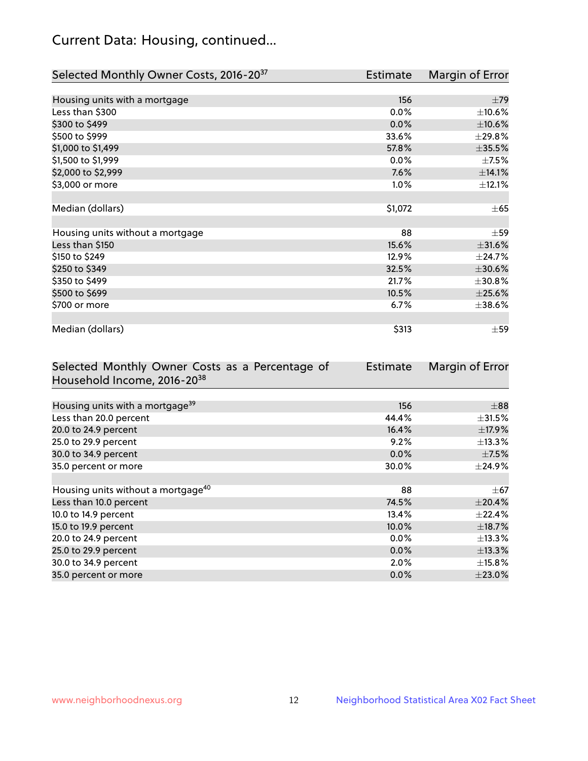# Current Data: Housing, continued...

| Selected Monthly Owner Costs, 2016-20 <sup>37</sup> | Estimate | Margin of Error |
|-----------------------------------------------------|----------|-----------------|
|                                                     |          |                 |
| Housing units with a mortgage                       | 156      | $\pm$ 79        |
| Less than \$300                                     | 0.0%     | $\pm 10.6\%$    |
| \$300 to \$499                                      | 0.0%     | $\pm 10.6\%$    |
| \$500 to \$999                                      | 33.6%    | ±29.8%          |
| \$1,000 to \$1,499                                  | 57.8%    | $\pm$ 35.5%     |
| \$1,500 to \$1,999                                  | 0.0%     | $\pm$ 7.5%      |
| \$2,000 to \$2,999                                  | 7.6%     | ±14.1%          |
| \$3,000 or more                                     | 1.0%     | ±12.1%          |
|                                                     |          |                 |
| Median (dollars)                                    | \$1,072  | $\pm 65$        |
|                                                     |          |                 |
| Housing units without a mortgage                    | 88       | $\pm$ 59        |
| Less than \$150                                     | 15.6%    | $\pm$ 31.6%     |
| \$150 to \$249                                      | 12.9%    | ±24.7%          |
| \$250 to \$349                                      | 32.5%    | $\pm 30.6\%$    |
| \$350 to \$499                                      | 21.7%    | ±30.8%          |
| \$500 to \$699                                      | 10.5%    | $\pm 25.6\%$    |
| \$700 or more                                       | 6.7%     | ±38.6%          |
|                                                     |          |                 |
| Median (dollars)                                    | \$313    | $\pm$ 59        |

| Selected Monthly Owner Costs as a Percentage of | <b>Estimate</b> | Margin of Error |
|-------------------------------------------------|-----------------|-----------------|
| Household Income, 2016-20 <sup>38</sup>         |                 |                 |
|                                                 |                 |                 |
| Housing units with a mortgage <sup>39</sup>     | 156             | $\pm$ 88        |
| Less than 20.0 percent                          | 44.4%           | $\pm$ 31.5%     |
| 20.0 to 24.9 percent                            | 16.4%           | $\pm$ 17.9%     |
| 25.0 to 29.9 percent                            | 9.2%            | $\pm$ 13.3%     |
| 30.0 to 34.9 percent                            | 0.0%            | $\pm$ 7.5%      |
| 35.0 percent or more                            | 30.0%           | $\pm$ 24.9%     |
|                                                 |                 |                 |
| Housing units without a mortgage <sup>40</sup>  | 88              | $\pm$ 67        |
| Less than 10.0 percent                          | 74.5%           | $\pm 20.4\%$    |
| 10.0 to 14.9 percent                            | 13.4%           | $\pm$ 22.4%     |
| 15.0 to 19.9 percent                            | 10.0%           | $\pm$ 18.7%     |
| 20.0 to 24.9 percent                            | $0.0\%$         | $\pm$ 13.3%     |
| 25.0 to 29.9 percent                            | 0.0%            | ±13.3%          |
| 30.0 to 34.9 percent                            | 2.0%            | $\pm$ 15.8%     |
| 35.0 percent or more                            | $0.0\%$         | $\pm 23.0\%$    |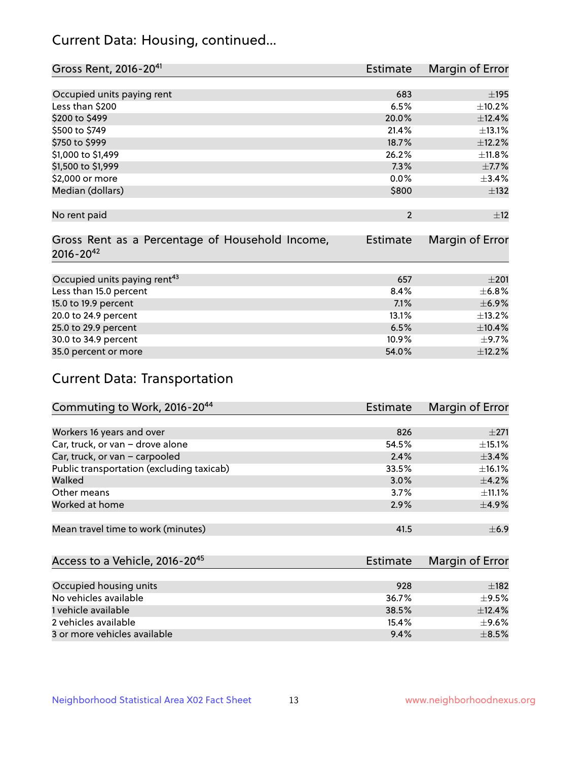# Current Data: Housing, continued...

| Gross Rent, 2016-20 <sup>41</sup>               | <b>Estimate</b> | Margin of Error |
|-------------------------------------------------|-----------------|-----------------|
|                                                 |                 |                 |
| Occupied units paying rent                      | 683             | $\pm$ 195       |
| Less than \$200                                 | 6.5%            | ±10.2%          |
| \$200 to \$499                                  | 20.0%           | ±12.4%          |
| \$500 to \$749                                  | 21.4%           | $\pm$ 13.1%     |
| \$750 to \$999                                  | 18.7%           | ±12.2%          |
| \$1,000 to \$1,499                              | 26.2%           | ±11.8%          |
| \$1,500 to \$1,999                              | 7.3%            | $\pm$ 7.7%      |
| \$2,000 or more                                 | 0.0%            | ±3.4%           |
| Median (dollars)                                | \$800           | ±132            |
|                                                 |                 |                 |
| No rent paid                                    | $\overline{2}$  | ±12             |
|                                                 |                 |                 |
| Gross Rent as a Percentage of Household Income, | <b>Estimate</b> | Margin of Error |
| $2016 - 20^{42}$                                |                 |                 |
|                                                 |                 |                 |
| Occupied units paying rent <sup>43</sup>        | 657             | $\pm 201$       |
| Less than 15.0 percent                          | 8.4%            | $\pm$ 6.8%      |
| 15.0 to 19.9 percent                            | 7.1%            | $\pm$ 6.9%      |
| 20.0 to 24.9 percent                            | 13.1%           | ±13.2%          |
| 25.0 to 29.9 percent                            | 6.5%            | $\pm$ 10.4%     |
| 30.0 to 34.9 percent                            | 10.9%           | $\pm$ 9.7%      |
| 35.0 percent or more                            | 54.0%           | ±12.2%          |

# Current Data: Transportation

| Commuting to Work, 2016-20 <sup>44</sup>  | Estimate | Margin of Error |
|-------------------------------------------|----------|-----------------|
|                                           |          |                 |
| Workers 16 years and over                 | 826      | $\pm 271$       |
| Car, truck, or van - drove alone          | 54.5%    | $\pm$ 15.1%     |
| Car, truck, or van - carpooled            | 2.4%     | $\pm$ 3.4%      |
| Public transportation (excluding taxicab) | 33.5%    | $\pm$ 16.1%     |
| Walked                                    | 3.0%     | $\pm$ 4.2%      |
| Other means                               | 3.7%     | $\pm$ 11.1%     |
| Worked at home                            | 2.9%     | $\pm$ 4.9%      |
|                                           |          |                 |
| Mean travel time to work (minutes)        | 41.5     | $\pm$ 6.9       |

| Access to a Vehicle, 2016-20 <sup>45</sup> | Estimate | Margin of Error |
|--------------------------------------------|----------|-----------------|
|                                            |          |                 |
| Occupied housing units                     | 928      | $\pm$ 182       |
| No vehicles available                      | 36.7%    | $+9.5%$         |
| 1 vehicle available                        | 38.5%    | ±12.4%          |
| 2 vehicles available                       | 15.4%    | $\pm$ 9.6%      |
| 3 or more vehicles available               | 9.4%     | $+8.5%$         |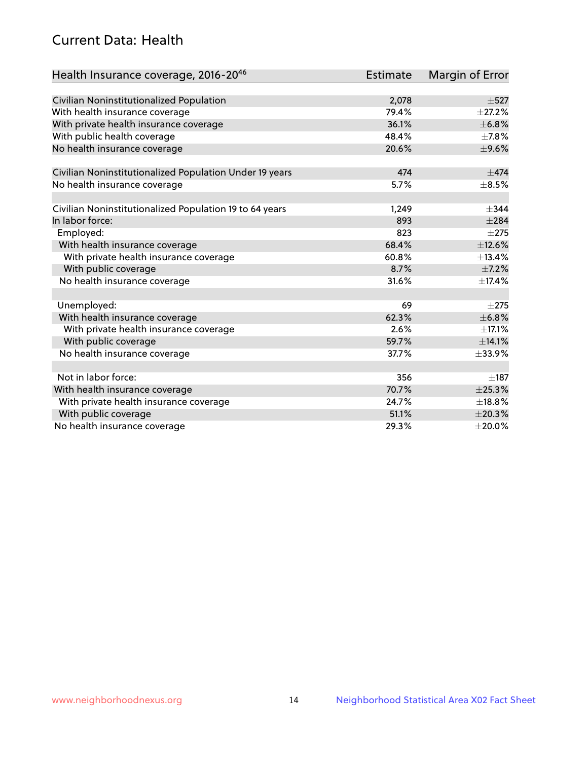# Current Data: Health

| Health Insurance coverage, 2016-2046                    | <b>Estimate</b> | Margin of Error |
|---------------------------------------------------------|-----------------|-----------------|
|                                                         |                 |                 |
| Civilian Noninstitutionalized Population                | 2,078           | $\pm$ 527       |
| With health insurance coverage                          | 79.4%           | $\pm 27.2\%$    |
| With private health insurance coverage                  | 36.1%           | ±6.8%           |
| With public health coverage                             | 48.4%           | $\pm$ 7.8%      |
| No health insurance coverage                            | 20.6%           | $\pm$ 9.6%      |
| Civilian Noninstitutionalized Population Under 19 years | 474             | $\pm$ 474       |
| No health insurance coverage                            | 5.7%            | $\pm$ 8.5%      |
|                                                         |                 |                 |
| Civilian Noninstitutionalized Population 19 to 64 years | 1,249           | $\pm$ 344       |
| In labor force:                                         | 893             | $\pm 284$       |
| Employed:                                               | 823             | $\pm 275$       |
| With health insurance coverage                          | 68.4%           | ±12.6%          |
| With private health insurance coverage                  | 60.8%           | ±13.4%          |
| With public coverage                                    | 8.7%            | $\pm$ 7.2%      |
| No health insurance coverage                            | 31.6%           | ±17.4%          |
|                                                         |                 |                 |
| Unemployed:                                             | 69              | $\pm 275$       |
| With health insurance coverage                          | 62.3%           | ±6.8%           |
| With private health insurance coverage                  | 2.6%            | $\pm$ 17.1%     |
| With public coverage                                    | 59.7%           | ±14.1%          |
| No health insurance coverage                            | 37.7%           | ±33.9%          |
|                                                         |                 |                 |
| Not in labor force:                                     | 356             | $\pm$ 187       |
| With health insurance coverage                          | 70.7%           | ±25.3%          |
| With private health insurance coverage                  | 24.7%           | ±18.8%          |
| With public coverage                                    | 51.1%           | ±20.3%          |
| No health insurance coverage                            | 29.3%           | $\pm 20.0\%$    |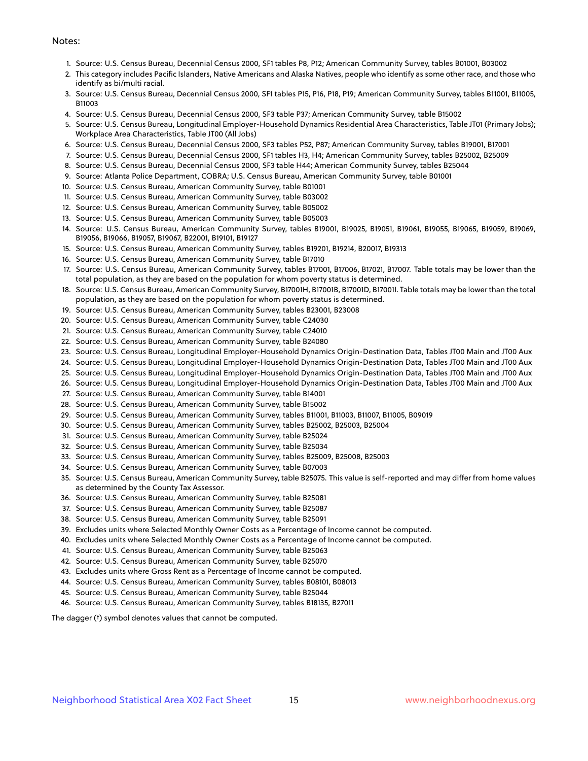#### Notes:

- 1. Source: U.S. Census Bureau, Decennial Census 2000, SF1 tables P8, P12; American Community Survey, tables B01001, B03002
- 2. This category includes Pacific Islanders, Native Americans and Alaska Natives, people who identify as some other race, and those who identify as bi/multi racial.
- 3. Source: U.S. Census Bureau, Decennial Census 2000, SF1 tables P15, P16, P18, P19; American Community Survey, tables B11001, B11005, B11003
- 4. Source: U.S. Census Bureau, Decennial Census 2000, SF3 table P37; American Community Survey, table B15002
- 5. Source: U.S. Census Bureau, Longitudinal Employer-Household Dynamics Residential Area Characteristics, Table JT01 (Primary Jobs); Workplace Area Characteristics, Table JT00 (All Jobs)
- 6. Source: U.S. Census Bureau, Decennial Census 2000, SF3 tables P52, P87; American Community Survey, tables B19001, B17001
- 7. Source: U.S. Census Bureau, Decennial Census 2000, SF1 tables H3, H4; American Community Survey, tables B25002, B25009
- 8. Source: U.S. Census Bureau, Decennial Census 2000, SF3 table H44; American Community Survey, tables B25044
- 9. Source: Atlanta Police Department, COBRA; U.S. Census Bureau, American Community Survey, table B01001
- 10. Source: U.S. Census Bureau, American Community Survey, table B01001
- 11. Source: U.S. Census Bureau, American Community Survey, table B03002
- 12. Source: U.S. Census Bureau, American Community Survey, table B05002
- 13. Source: U.S. Census Bureau, American Community Survey, table B05003
- 14. Source: U.S. Census Bureau, American Community Survey, tables B19001, B19025, B19051, B19061, B19055, B19065, B19059, B19069, B19056, B19066, B19057, B19067, B22001, B19101, B19127
- 15. Source: U.S. Census Bureau, American Community Survey, tables B19201, B19214, B20017, B19313
- 16. Source: U.S. Census Bureau, American Community Survey, table B17010
- 17. Source: U.S. Census Bureau, American Community Survey, tables B17001, B17006, B17021, B17007. Table totals may be lower than the total population, as they are based on the population for whom poverty status is determined.
- 18. Source: U.S. Census Bureau, American Community Survey, B17001H, B17001B, B17001D, B17001I. Table totals may be lower than the total population, as they are based on the population for whom poverty status is determined.
- 19. Source: U.S. Census Bureau, American Community Survey, tables B23001, B23008
- 20. Source: U.S. Census Bureau, American Community Survey, table C24030
- 21. Source: U.S. Census Bureau, American Community Survey, table C24010
- 22. Source: U.S. Census Bureau, American Community Survey, table B24080
- 23. Source: U.S. Census Bureau, Longitudinal Employer-Household Dynamics Origin-Destination Data, Tables JT00 Main and JT00 Aux
- 24. Source: U.S. Census Bureau, Longitudinal Employer-Household Dynamics Origin-Destination Data, Tables JT00 Main and JT00 Aux
- 25. Source: U.S. Census Bureau, Longitudinal Employer-Household Dynamics Origin-Destination Data, Tables JT00 Main and JT00 Aux
- 26. Source: U.S. Census Bureau, Longitudinal Employer-Household Dynamics Origin-Destination Data, Tables JT00 Main and JT00 Aux
- 27. Source: U.S. Census Bureau, American Community Survey, table B14001
- 28. Source: U.S. Census Bureau, American Community Survey, table B15002
- 29. Source: U.S. Census Bureau, American Community Survey, tables B11001, B11003, B11007, B11005, B09019
- 30. Source: U.S. Census Bureau, American Community Survey, tables B25002, B25003, B25004
- 31. Source: U.S. Census Bureau, American Community Survey, table B25024
- 32. Source: U.S. Census Bureau, American Community Survey, table B25034
- 33. Source: U.S. Census Bureau, American Community Survey, tables B25009, B25008, B25003
- 34. Source: U.S. Census Bureau, American Community Survey, table B07003
- 35. Source: U.S. Census Bureau, American Community Survey, table B25075. This value is self-reported and may differ from home values as determined by the County Tax Assessor.
- 36. Source: U.S. Census Bureau, American Community Survey, table B25081
- 37. Source: U.S. Census Bureau, American Community Survey, table B25087
- 38. Source: U.S. Census Bureau, American Community Survey, table B25091
- 39. Excludes units where Selected Monthly Owner Costs as a Percentage of Income cannot be computed.
- 40. Excludes units where Selected Monthly Owner Costs as a Percentage of Income cannot be computed.
- 41. Source: U.S. Census Bureau, American Community Survey, table B25063
- 42. Source: U.S. Census Bureau, American Community Survey, table B25070
- 43. Excludes units where Gross Rent as a Percentage of Income cannot be computed.
- 44. Source: U.S. Census Bureau, American Community Survey, tables B08101, B08013
- 45. Source: U.S. Census Bureau, American Community Survey, table B25044
- 46. Source: U.S. Census Bureau, American Community Survey, tables B18135, B27011

The dagger (†) symbol denotes values that cannot be computed.